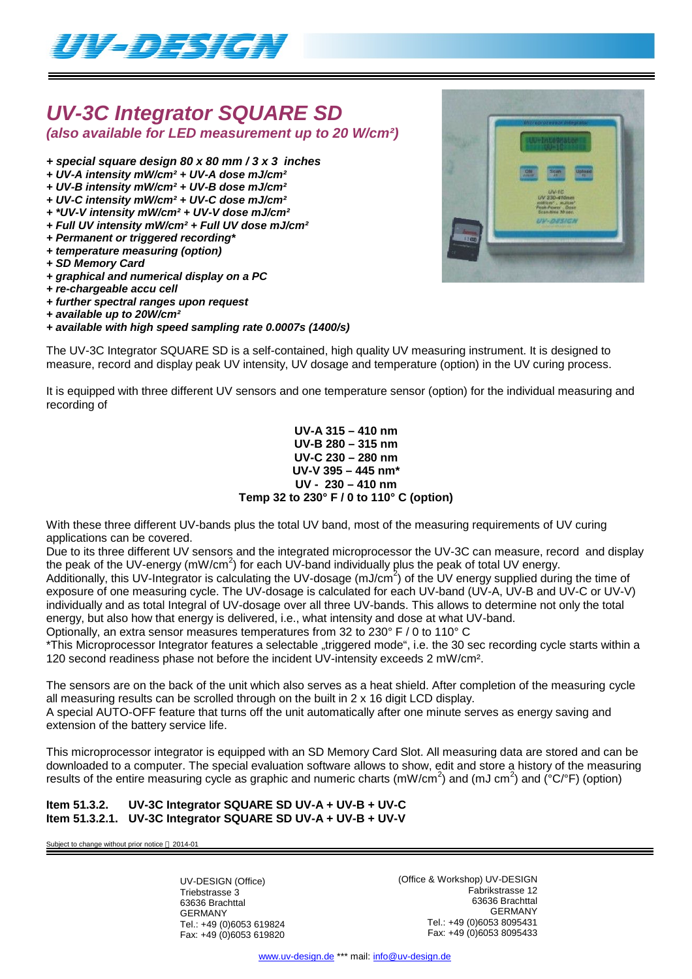

# *UV-3C Integrator SQUARE SD*

*(also available for LED measurement up to 20 W/cm²)*

- *+ special square design 80 x 80 mm / 3 x 3 inches*
- *+ UV-A intensity mW/cm² + UV-A dose mJ/cm²*
- *+ UV-B intensity mW/cm² + UV-B dose mJ/cm²*
- *+ UV-C intensity mW/cm² + UV-C dose mJ/cm²*
- *+ \*UV-V intensity mW/cm² + UV-V dose mJ/cm²*
- *+ Full UV intensity mW/cm² + Full UV dose mJ/cm²*
- *+ Permanent or triggered recording\**
- *+ temperature measuring (option) + SD Memory Card*
- *+ graphical and numerical display on a PC*
- *+ re-chargeable accu cell*
- *+ further spectral ranges upon request*
- *+ available up to 20W/cm²*
- *+ available with high speed sampling rate 0.0007s (1400/s)*

The UV-3C Integrator SQUARE SD is a self-contained, high quality UV measuring instrument. It is designed to measure, record and display peak UV intensity, UV dosage and temperature (option) in the UV curing process.

It is equipped with three different UV sensors and one temperature sensor (option) for the individual measuring and recording of

#### **UV-A 315 – 410 nm UV-B 280 – 315 nm UV-C 230 – 280 nm UV-V 395 – 445 nm\* UV - 230 – 410 nm Temp 32 to 230° F / 0 to 110° C (option)**

With these three different UV-bands plus the total UV band, most of the measuring requirements of UV curing applications can be covered.

Due to its three different UV sensors and the integrated microprocessor the UV-3C can measure, record and display the peak of the UV-energy (mW/cm<sup>2</sup>) for each UV-band individually plus the peak of total UV energy. Additionally, this UV-Integrator is calculating the UV-dosage (mJ/cm<sup>2</sup>) of the UV energy supplied during the time of exposure of one measuring cycle. The UV-dosage is calculated for each UV-band (UV-A, UV-B and UV-C or UV-V) individually and as total Integral of UV-dosage over all three UV-bands. This allows to determine not only the total

energy, but also how that energy is delivered, i.e., what intensity and dose at what UV-band.

Optionally, an extra sensor measures temperatures from 32 to 230° F / 0 to 110° C

\*This Microprocessor Integrator features a selectable "triggered mode", i.e. the 30 sec recording cycle starts within a 120 second readiness phase not before the incident UV-intensity exceeds 2 mW/cm².

The sensors are on the back of the unit which also serves as a heat shield. After completion of the measuring cycle all measuring results can be scrolled through on the built in  $2 \times 16$  digit LCD display. A special AUTO-OFF feature that turns off the unit automatically after one minute serves as energy saving and extension of the battery service life.

This microprocessor integrator is equipped with an SD Memory Card Slot. All measuring data are stored and can be downloaded to a computer. The special evaluation software allows to show, edit and store a history of the measuring results of the entire measuring cycle as graphic and numeric charts (mW/cm<sup>2</sup>) and (mJ cm<sup>2</sup>) and (°C/°F) (option)

### **Item 51.3.2. UV-3C Integrator SQUARE SD UV-A + UV-B + UV-C Item 51.3.2.1. UV-3C Integrator SQUARE SD UV-A + UV-B + UV-V**

Subject to change without prior notice  $@$  2014-01

UV-DESIGN (Office) Triebstrasse 3 63636 Brachttal GERMANY Tel.: +49 (0)6053 619824 Fax: +49 (0)6053 619820 (Office & Workshop) UV-DESIGN Fabrikstrasse 12 63636 Brachttal GERMANY Tel.: +49 (0)6053 8095431 Fax: +49 (0)6053 8095433